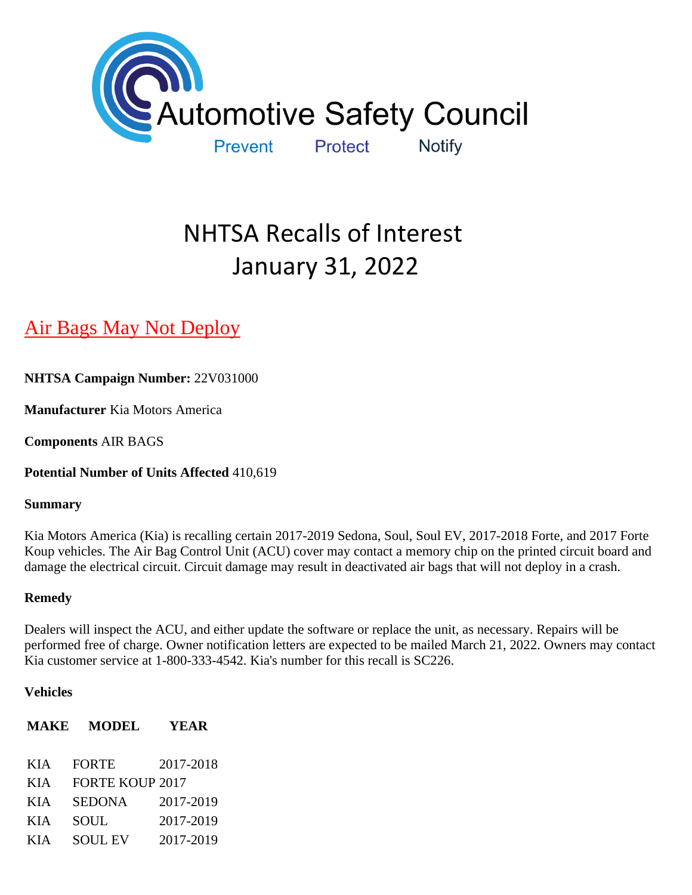

# NHTSA Recalls of Interest January 31, 2022

# [Air Bags May Not Deploy](https://www.nhtsa.gov/recalls?nhtsaId=22V031#recalls530)

**NHTSA Campaign Number:** 22V031000

**Manufacturer** Kia Motors America

**Components** AIR BAGS

**Potential Number of Units Affected** 410,619

#### **Summary**

Kia Motors America (Kia) is recalling certain 2017-2019 Sedona, Soul, Soul EV, 2017-2018 Forte, and 2017 Forte Koup vehicles. The Air Bag Control Unit (ACU) cover may contact a memory chip on the printed circuit board and damage the electrical circuit. Circuit damage may result in deactivated air bags that will not deploy in a crash.

#### **Remedy**

Dealers will inspect the ACU, and either update the software or replace the unit, as necessary. Repairs will be performed free of charge. Owner notification letters are expected to be mailed March 21, 2022. Owners may contact Kia customer service at 1-800-333-4542. Kia's number for this recall is SC226.

#### **Vehicles**

#### **MAKE MODEL YEAR**

KIA FORTE 2017-2018 KIA FORTE KOUP 2017 KIA SEDONA 2017-2019 KIA SOUL 2017-2019 KIA SOUL EV 2017-2019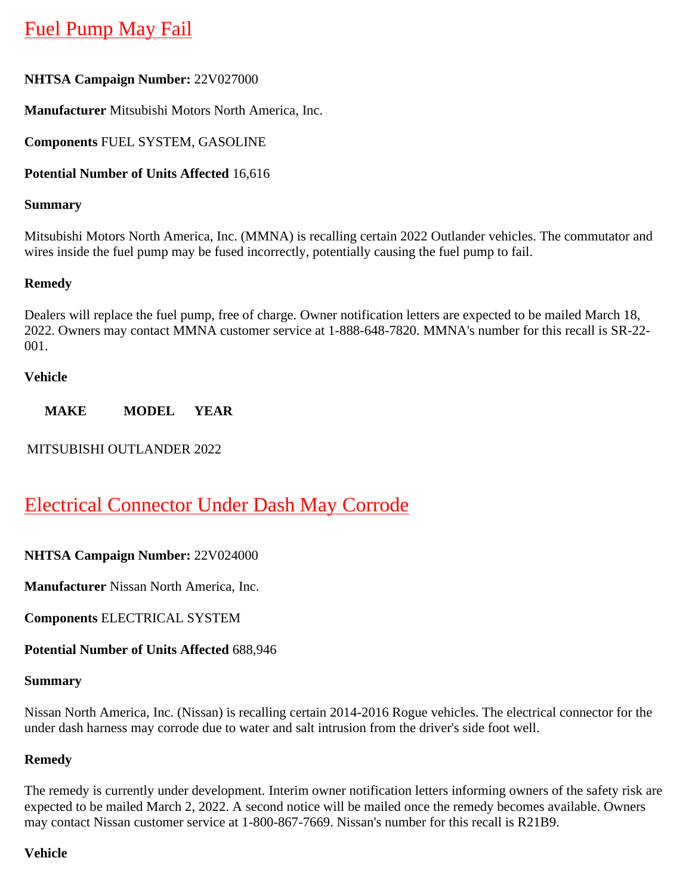# [Fuel Pump May Fail](https://www.nhtsa.gov/recalls?nhtsaId=22V027#recalls530)

#### **NHTSA Campaign Number:** 22V027000

**Manufacturer** Mitsubishi Motors North America, Inc.

**Components** FUEL SYSTEM, GASOLINE

#### **Potential Number of Units Affected** 16,616

#### **Summary**

Mitsubishi Motors North America, Inc. (MMNA) is recalling certain 2022 Outlander vehicles. The commutator and wires inside the fuel pump may be fused incorrectly, potentially causing the fuel pump to fail.

#### **Remedy**

Dealers will replace the fuel pump, free of charge. Owner notification letters are expected to be mailed March 18, 2022. Owners may contact MMNA customer service at 1-888-648-7820. MMNA's number for this recall is SR-22- 001.

#### **Vehicle**

**MAKE MODEL YEAR**

MITSUBISHI OUTLANDER 2022

## [Electrical Connector Under Dash May Corrode](https://www.nhtsa.gov/recalls?nhtsaId=22V024#recalls530)

#### **NHTSA Campaign Number:** 22V024000

**Manufacturer** Nissan North America, Inc.

**Components** ELECTRICAL SYSTEM

**Potential Number of Units Affected** 688,946

#### **Summary**

Nissan North America, Inc. (Nissan) is recalling certain 2014-2016 Rogue vehicles. The electrical connector for the under dash harness may corrode due to water and salt intrusion from the driver's side foot well.

#### **Remedy**

The remedy is currently under development. Interim owner notification letters informing owners of the safety risk are expected to be mailed March 2, 2022. A second notice will be mailed once the remedy becomes available. Owners may contact Nissan customer service at 1-800-867-7669. Nissan's number for this recall is R21B9.

#### **Vehicle**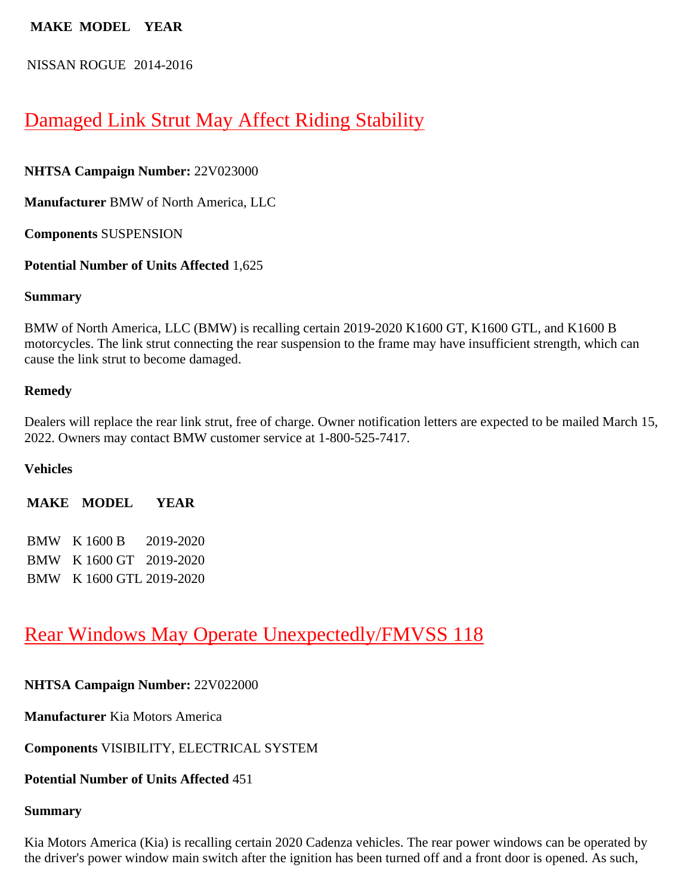#### **MAKE MODEL YEAR**

NISSAN ROGUE 2014-2016

### [Damaged Link Strut May Affect Riding Stability](https://www.nhtsa.gov/recalls?nhtsaId=22V023#recalls530)

**NHTSA Campaign Number:** 22V023000

**Manufacturer** BMW of North America, LLC

**Components** SUSPENSION

**Potential Number of Units Affected** 1,625

#### **Summary**

BMW of North America, LLC (BMW) is recalling certain 2019-2020 K1600 GT, K1600 GTL, and K1600 B motorcycles. The link strut connecting the rear suspension to the frame may have insufficient strength, which can cause the link strut to become damaged.

#### **Remedy**

Dealers will replace the rear link strut, free of charge. Owner notification letters are expected to be mailed March 15, 2022. Owners may contact BMW customer service at 1-800-525-7417.

#### **Vehicles**

**MAKE MODEL YEAR**

| <b>BMW</b> K 1600 B      | 2019-2020 |
|--------------------------|-----------|
| BMW K 1600 GT 2019-2020  |           |
| BMW K 1600 GTL 2019-2020 |           |

### [Rear Windows May Operate Unexpectedly/FMVSS 118](https://www.nhtsa.gov/recalls?nhtsaId=22V022#recalls530)

#### **NHTSA Campaign Number:** 22V022000

**Manufacturer** Kia Motors America

**Components** VISIBILITY, ELECTRICAL SYSTEM

#### **Potential Number of Units Affected** 451

#### **Summary**

Kia Motors America (Kia) is recalling certain 2020 Cadenza vehicles. The rear power windows can be operated by the driver's power window main switch after the ignition has been turned off and a front door is opened. As such,